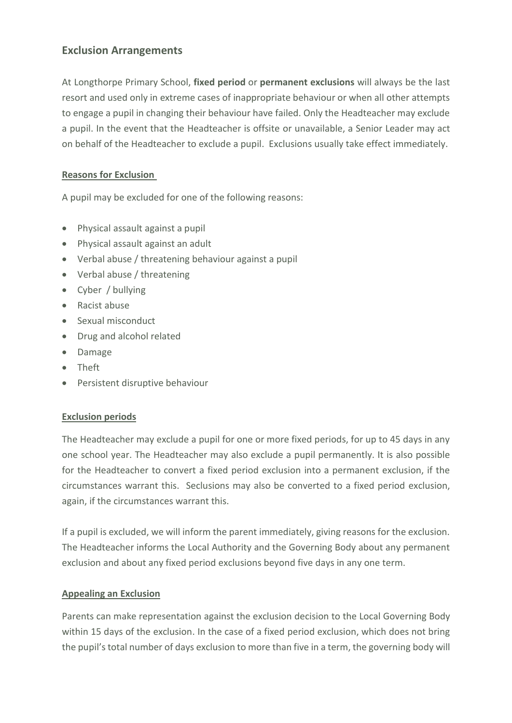# **Exclusion Arrangements**

At Longthorpe Primary School, **fixed period** or **permanent exclusions** will always be the last resort and used only in extreme cases of inappropriate behaviour or when all other attempts to engage a pupil in changing their behaviour have failed. Only the Headteacher may exclude a pupil. In the event that the Headteacher is offsite or unavailable, a Senior Leader may act on behalf of the Headteacher to exclude a pupil. Exclusions usually take effect immediately.

### **Reasons for Exclusion**

A pupil may be excluded for one of the following reasons:

- Physical assault against a pupil
- Physical assault against an adult
- Verbal abuse / threatening behaviour against a pupil
- Verbal abuse / threatening
- Cyber / bullying
- Racist abuse
- Sexual misconduct
- Drug and alcohol related
- Damage
- Theft
- Persistent disruptive behaviour

### **Exclusion periods**

The Headteacher may exclude a pupil for one or more fixed periods, for up to 45 days in any one school year. The Headteacher may also exclude a pupil permanently. It is also possible for the Headteacher to convert a fixed period exclusion into a permanent exclusion, if the circumstances warrant this. Seclusions may also be converted to a fixed period exclusion, again, if the circumstances warrant this.

If a pupil is excluded, we will inform the parent immediately, giving reasons for the exclusion. The Headteacher informs the Local Authority and the Governing Body about any permanent exclusion and about any fixed period exclusions beyond five days in any one term.

#### **Appealing an Exclusion**

Parents can make representation against the exclusion decision to the Local Governing Body within 15 days of the exclusion. In the case of a fixed period exclusion, which does not bring the pupil's total number of days exclusion to more than five in a term, the governing body will